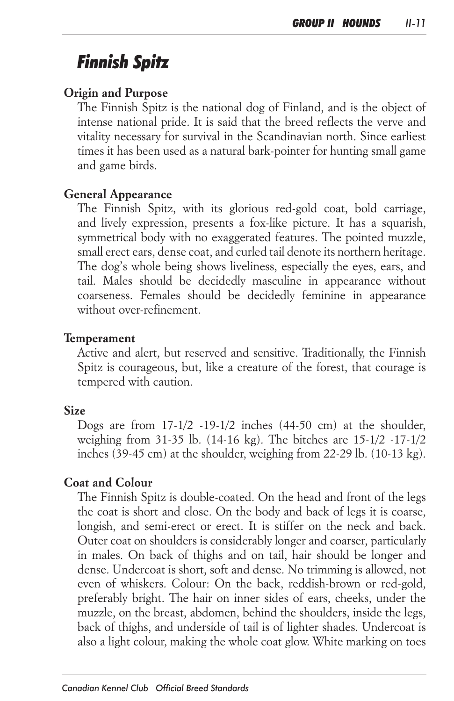# *Finnish Spitz*

### *Origin and Purpose*

The Finnish Spitz is the national dog of Finland, and is the object of *intense national pride. It is said that the breed reflects the verve and vitality necessary for survival in the Scandinavian north. Since earliest times it has been used as a natural bark-pointer for hunting small game and game birds.*

### *General Appearance*

*The Finnish Spitz, with its glorious red-gold coat, bold carriage, and lively expression, presents a fox-like picture. It has a squarish, symmetrical body with no exaggerated features. The pointed muzzle, small erect ears, dense coat, and curled tail denote its northern heritage. The dog's whole being shows liveliness, especially the eyes, ears, and*  tail. Males should be decidedly masculine in appearance without *coarseness. Females should be decidedly feminine in appearance without over-refinement.*

#### *Temperament*

*Active and alert, but reserved and sensitive. Traditionally, the Finnish Spitz is courageous, but, like a creature of the forest, that courage is tempered with caution.*

### *Size*

*Dogs are from 17-1/2 -19-1/2 inches (44-50 cm) at the shoulder, weighing from 31-35 lb. (14-16 kg). The bitches are 15-1/2 -17-1/2 inches (39-45 cm) at the shoulder, weighing from 22-29 lb. (10-13 kg).*

#### *Coat and Colour*

*The Finnish Spitz is double-coated. On the head and front of the legs the coat is short and close. On the body and back of legs it is coarse, longish, and semi-erect or erect. It is stiffer on the neck and back. Outer coat on shoulders is considerably longer and coarser, particularly*  in males. On back of thighs and on tail, hair should be longer and dense. Undercoat is short, soft and dense. No trimming is allowed, not *even of whiskers. Colour: On the back, reddish-brown or red-gold,*  preferably bright. The hair on inner sides of ears, cheeks, under the *muzzle, on the breast, abdomen, behind the shoulders, inside the legs,*  back of thighs, and underside of tail is of lighter shades. Undercoat is *also a light colour, making the whole coat glow. White marking on toes*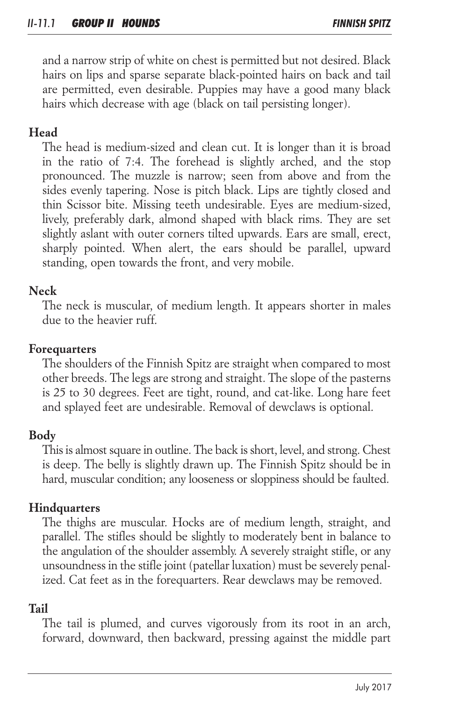*and a narrow strip of white on chest is permitted but not desired. Black hairs on lips and sparse separate black-pointed hairs on back and tail are permitted, even desirable. Puppies may have a good many black hairs which decrease with age (black on tail persisting longer).*

# *Head*

*The head is medium-sized and clean cut. It is longer than it is broad in the ratio of 7:4. The forehead is slightly arched, and the stop pronounced. The muzzle is narrow; seen from above and from the sides evenly tapering. Nose is pitch black. Lips are tightly closed and thin Scissor bite. Missing teeth undesirable. Eyes are medium-sized, lively, preferably dark, almond shaped with black rims. They are set slightly aslant with outer corners tilted upwards. Ears are small, erect,*  sharply pointed. When alert, the ears should be parallel, upward *standing, open towards the front, and very mobile.*

# *Neck*

*The neck is muscular, of medium length. It appears shorter in males due to the heavier ruff.*

### *Forequarters*

*The shoulders of the Finnish Spitz are straight when compared to most other breeds. The legs are strong and straight. The slope of the pasterns is 25 to 30 degrees. Feet are tight, round, and cat-like. Long hare feet and splayed feet are undesirable. Removal of dewclaws is optional.*

## *Body*

*This is almost square in outline. The back is short, level, and strong. Chest*  is deep. The belly is slightly drawn up. The Finnish Spitz should be in *hard, muscular condition; any looseness or sloppiness should be faulted.*

## *Hindquarters*

The thighs are muscular. Hocks are of medium length, straight, and *parallel. The stifles should be slightly to moderately bent in balance to the angulation of the shoulder assembly. A severely straight stifle, or any unsoundness in the stifle joint (patellar luxation) must be severely penalized. Cat feet as in the forequarters. Rear dewclaws may be removed.*

# *Tail*

*The tail is plumed, and curves vigorously from its root in an arch,*  forward, downward, then backward, pressing against the middle part